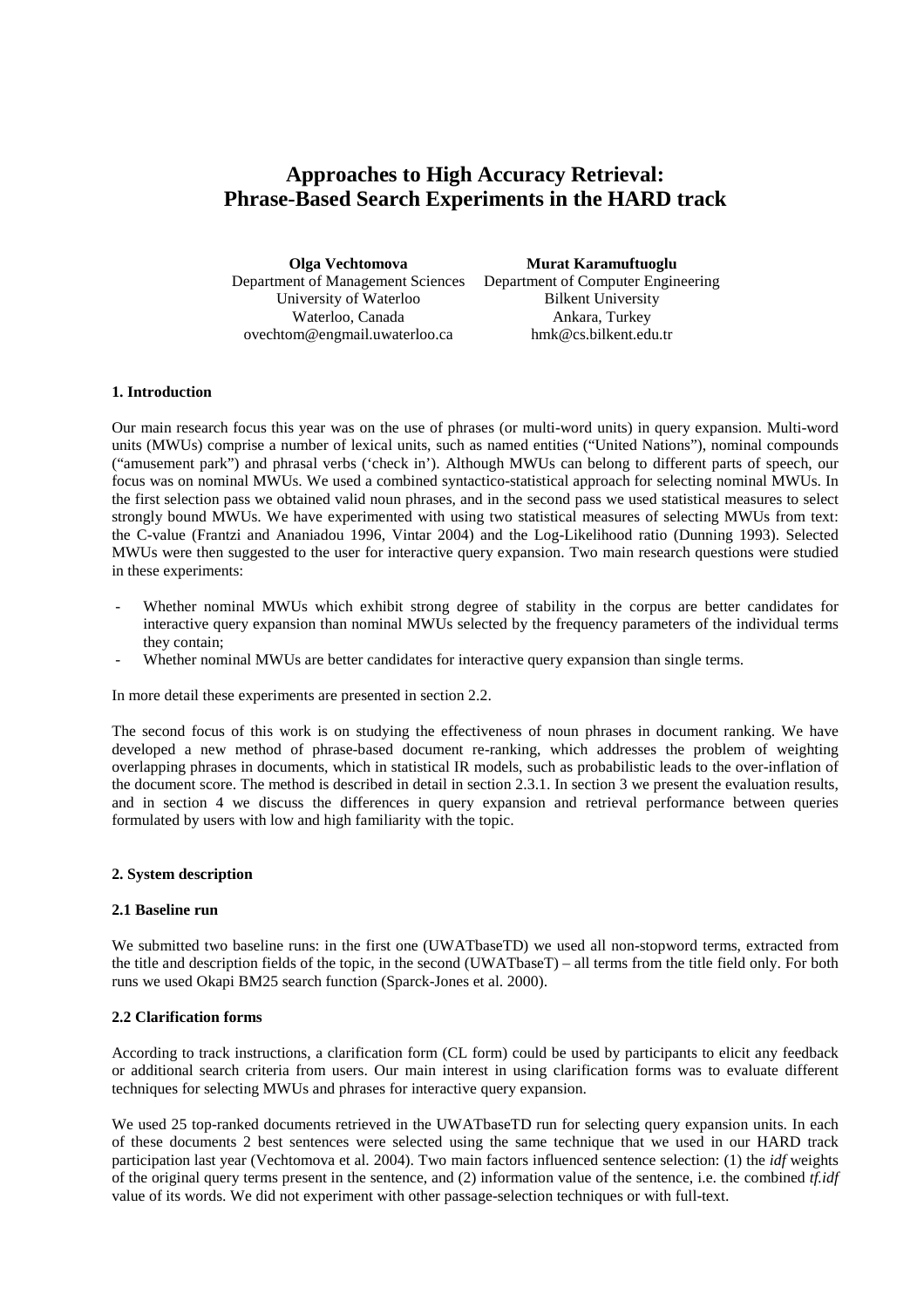# **Approaches to High Accuracy Retrieval: Phrase-Based Search Experiments in the HARD track**

| Olga Vechtomova                   | Murat Karamuftuoglu                |  |  |
|-----------------------------------|------------------------------------|--|--|
| Department of Management Sciences | Department of Computer Engineering |  |  |
| University of Waterloo            | <b>Bilkent University</b>          |  |  |
| Waterloo, Canada                  | Ankara, Turkey                     |  |  |
| ovechtom@engmail.uwaterloo.ca     | hmk@cs.bilkent.edu.tr              |  |  |

# **1. Introduction**

Our main research focus this year was on the use of phrases (or multi-word units) in query expansion. Multi-word units (MWUs) comprise a number of lexical units, such as named entities ("United Nations"), nominal compounds ("amusement park") and phrasal verbs ('check in'). Although MWUs can belong to different parts of speech, our focus was on nominal MWUs. We used a combined syntactico-statistical approach for selecting nominal MWUs. In the first selection pass we obtained valid noun phrases, and in the second pass we used statistical measures to select strongly bound MWUs. We have experimented with using two statistical measures of selecting MWUs from text: the C-value (Frantzi and Ananiadou 1996, Vintar 2004) and the Log-Likelihood ratio (Dunning 1993). Selected MWUs were then suggested to the user for interactive query expansion. Two main research questions were studied in these experiments:

- Whether nominal MWUs which exhibit strong degree of stability in the corpus are better candidates for interactive query expansion than nominal MWUs selected by the frequency parameters of the individual terms they contain;
- Whether nominal MWUs are better candidates for interactive query expansion than single terms.

In more detail these experiments are presented in section 2.2.

The second focus of this work is on studying the effectiveness of noun phrases in document ranking. We have developed a new method of phrase-based document re-ranking, which addresses the problem of weighting overlapping phrases in documents, which in statistical IR models, such as probabilistic leads to the over-inflation of the document score. The method is described in detail in section 2.3.1. In section 3 we present the evaluation results, and in section 4 we discuss the differences in query expansion and retrieval performance between queries formulated by users with low and high familiarity with the topic.

#### **2. System description**

#### **2.1 Baseline run**

We submitted two baseline runs: in the first one (UWATbaseTD) we used all non-stopword terms, extracted from the title and description fields of the topic, in the second (UWATbaseT) – all terms from the title field only. For both runs we used Okapi BM25 search function (Sparck-Jones et al. 2000).

# **2.2 Clarification forms**

According to track instructions, a clarification form (CL form) could be used by participants to elicit any feedback or additional search criteria from users. Our main interest in using clarification forms was to evaluate different techniques for selecting MWUs and phrases for interactive query expansion.

We used 25 top-ranked documents retrieved in the UWATbaseTD run for selecting query expansion units. In each of these documents 2 best sentences were selected using the same technique that we used in our HARD track participation last year (Vechtomova et al. 2004). Two main factors influenced sentence selection: (1) the *idf* weights of the original query terms present in the sentence, and (2) information value of the sentence, i.e. the combined *tf.idf* value of its words. We did not experiment with other passage-selection techniques or with full-text.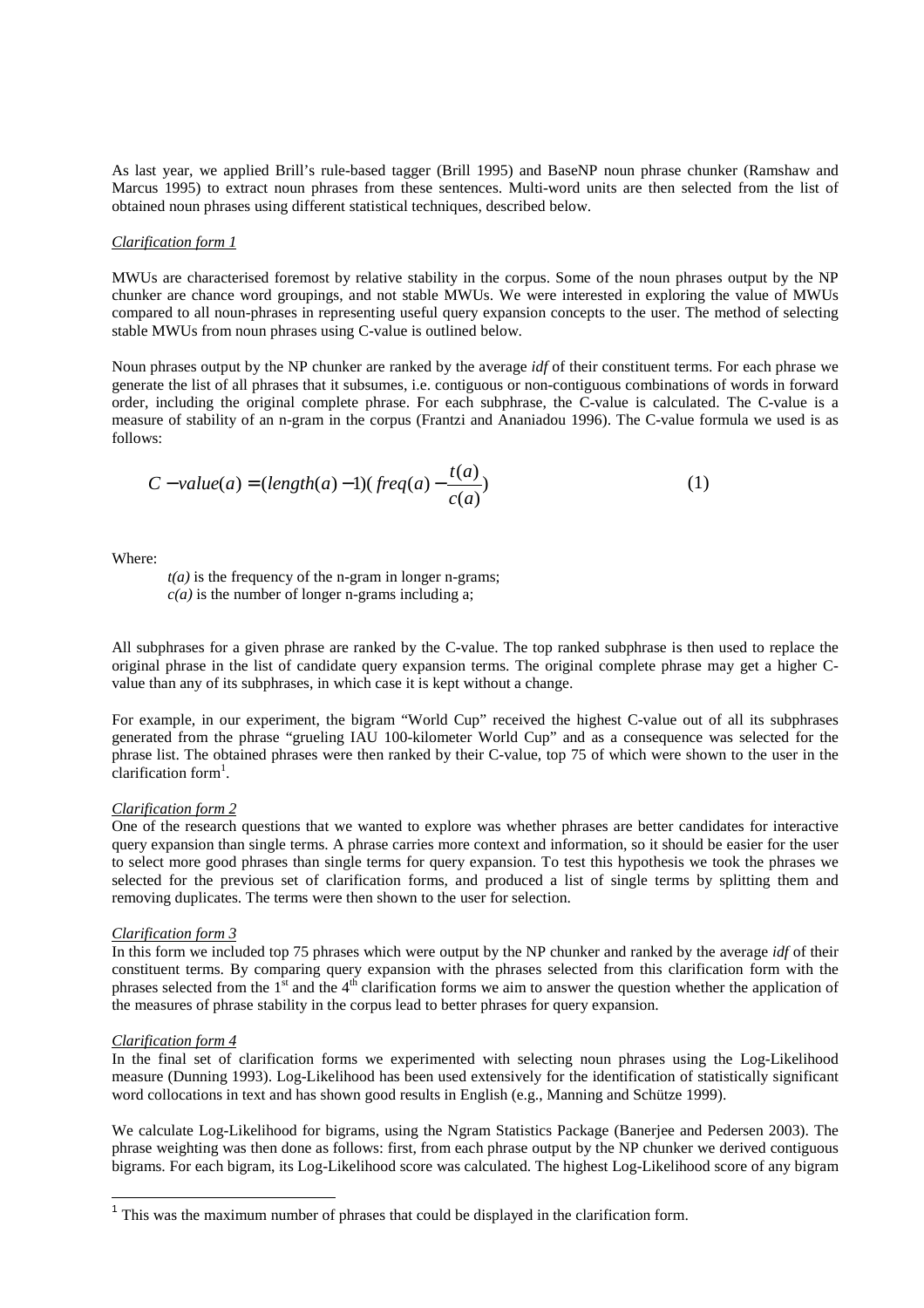As last year, we applied Brill's rule-based tagger (Brill 1995) and BaseNP noun phrase chunker (Ramshaw and Marcus 1995) to extract noun phrases from these sentences. Multi-word units are then selected from the list of obtained noun phrases using different statistical techniques, described below.

#### *Clarification form 1*

MWUs are characterised foremost by relative stability in the corpus. Some of the noun phrases output by the NP chunker are chance word groupings, and not stable MWUs. We were interested in exploring the value of MWUs compared to all noun-phrases in representing useful query expansion concepts to the user. The method of selecting stable MWUs from noun phrases using C-value is outlined below.

Noun phrases output by the NP chunker are ranked by the average *idf* of their constituent terms. For each phrase we generate the list of all phrases that it subsumes, i.e. contiguous or non-contiguous combinations of words in forward order, including the original complete phrase. For each subphrase, the C-value is calculated. The C-value is a measure of stability of an n-gram in the corpus (Frantzi and Ananiadou 1996). The C-value formula we used is as follows:

$$
C-value(a) = (length(a) - 1)(freq(a) - \frac{t(a)}{c(a)})
$$
\n(1)

Where:

 $t(a)$  is the frequency of the n-gram in longer n-grams;  $c(a)$  is the number of longer n-grams including a;

All subphrases for a given phrase are ranked by the C-value. The top ranked subphrase is then used to replace the original phrase in the list of candidate query expansion terms. The original complete phrase may get a higher Cvalue than any of its subphrases, in which case it is kept without a change.

For example, in our experiment, the bigram "World Cup" received the highest C-value out of all its subphrases generated from the phrase "grueling IAU 100-kilometer World Cup" and as a consequence was selected for the phrase list. The obtained phrases were then ranked by their C-value, top 75 of which were shown to the user in the clarification form<sup>1</sup>.

#### *Clarification form 2*

One of the research questions that we wanted to explore was whether phrases are better candidates for interactive query expansion than single terms. A phrase carries more context and information, so it should be easier for the user to select more good phrases than single terms for query expansion. To test this hypothesis we took the phrases we selected for the previous set of clarification forms, and produced a list of single terms by splitting them and removing duplicates. The terms were then shown to the user for selection.

#### *Clarification form 3*

In this form we included top 75 phrases which were output by the NP chunker and ranked by the average *idf* of their constituent terms. By comparing query expansion with the phrases selected from this clarification form with the phrases selected from the  $1<sup>st</sup>$  and the  $4<sup>th</sup>$  clarification forms we aim to answer the question whether the application of the measures of phrase stability in the corpus lead to better phrases for query expansion.

#### *Clarification form 4*

In the final set of clarification forms we experimented with selecting noun phrases using the Log-Likelihood measure (Dunning 1993). Log-Likelihood has been used extensively for the identification of statistically significant word collocations in text and has shown good results in English (e.g., Manning and Schütze 1999).

We calculate Log-Likelihood for bigrams, using the Ngram Statistics Package (Banerjee and Pedersen 2003). The phrase weighting was then done as follows: first, from each phrase output by the NP chunker we derived contiguous bigrams. For each bigram, its Log-Likelihood score was calculated. The highest Log-Likelihood score of any bigram

<sup>&</sup>lt;sup>1</sup> This was the maximum number of phrases that could be displayed in the clarification form.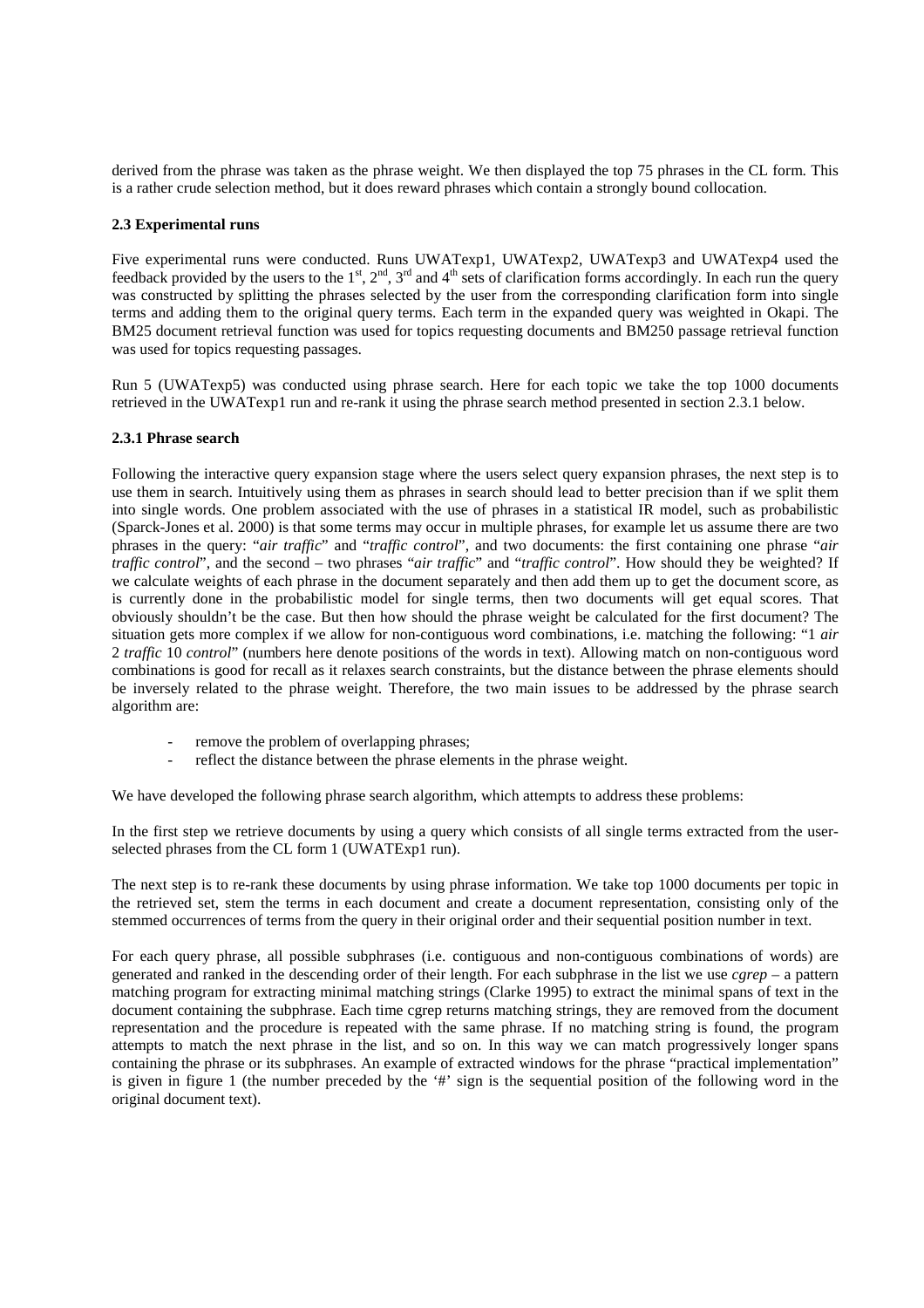derived from the phrase was taken as the phrase weight. We then displayed the top 75 phrases in the CL form. This is a rather crude selection method, but it does reward phrases which contain a strongly bound collocation.

# **2.3 Experimental runs**

Five experimental runs were conducted. Runs UWATexp1, UWATexp2, UWATexp3 and UWATexp4 used the feedback provided by the users to the  $1^{st}$ ,  $2^{nd}$ ,  $3^{rd}$  and  $4^{th}$  sets of clarification forms accordingly. In each run the query was constructed by splitting the phrases selected by the user from the corresponding clarification form into single terms and adding them to the original query terms. Each term in the expanded query was weighted in Okapi. The BM25 document retrieval function was used for topics requesting documents and BM250 passage retrieval function was used for topics requesting passages.

Run 5 (UWATexp5) was conducted using phrase search. Here for each topic we take the top 1000 documents retrieved in the UWATexp1 run and re-rank it using the phrase search method presented in section 2.3.1 below.

# **2.3.1 Phrase search**

Following the interactive query expansion stage where the users select query expansion phrases, the next step is to use them in search. Intuitively using them as phrases in search should lead to better precision than if we split them into single words. One problem associated with the use of phrases in a statistical IR model, such as probabilistic (Sparck-Jones et al. 2000) is that some terms may occur in multiple phrases, for example let us assume there are two phrases in the query: "*air traffic*" and "*traffic control*", and two documents: the first containing one phrase "*air traffic control*", and the second – two phrases "*air traffic*" and "*traffic control*". How should they be weighted? If we calculate weights of each phrase in the document separately and then add them up to get the document score, as is currently done in the probabilistic model for single terms, then two documents will get equal scores. That obviously shouldn't be the case. But then how should the phrase weight be calculated for the first document? The situation gets more complex if we allow for non-contiguous word combinations, i.e. matching the following: "1 *air* 2 *traffic* 10 *control*" (numbers here denote positions of the words in text). Allowing match on non-contiguous word combinations is good for recall as it relaxes search constraints, but the distance between the phrase elements should be inversely related to the phrase weight. Therefore, the two main issues to be addressed by the phrase search algorithm are:

- remove the problem of overlapping phrases;
- reflect the distance between the phrase elements in the phrase weight.

We have developed the following phrase search algorithm, which attempts to address these problems:

In the first step we retrieve documents by using a query which consists of all single terms extracted from the userselected phrases from the CL form 1 (UWATExp1 run).

The next step is to re-rank these documents by using phrase information. We take top 1000 documents per topic in the retrieved set, stem the terms in each document and create a document representation, consisting only of the stemmed occurrences of terms from the query in their original order and their sequential position number in text.

For each query phrase, all possible subphrases (i.e. contiguous and non-contiguous combinations of words) are generated and ranked in the descending order of their length. For each subphrase in the list we use *cgrep* – a pattern matching program for extracting minimal matching strings (Clarke 1995) to extract the minimal spans of text in the document containing the subphrase. Each time cgrep returns matching strings, they are removed from the document representation and the procedure is repeated with the same phrase. If no matching string is found, the program attempts to match the next phrase in the list, and so on. In this way we can match progressively longer spans containing the phrase or its subphrases. An example of extracted windows for the phrase "practical implementation" is given in figure 1 (the number preceded by the '#' sign is the sequential position of the following word in the original document text).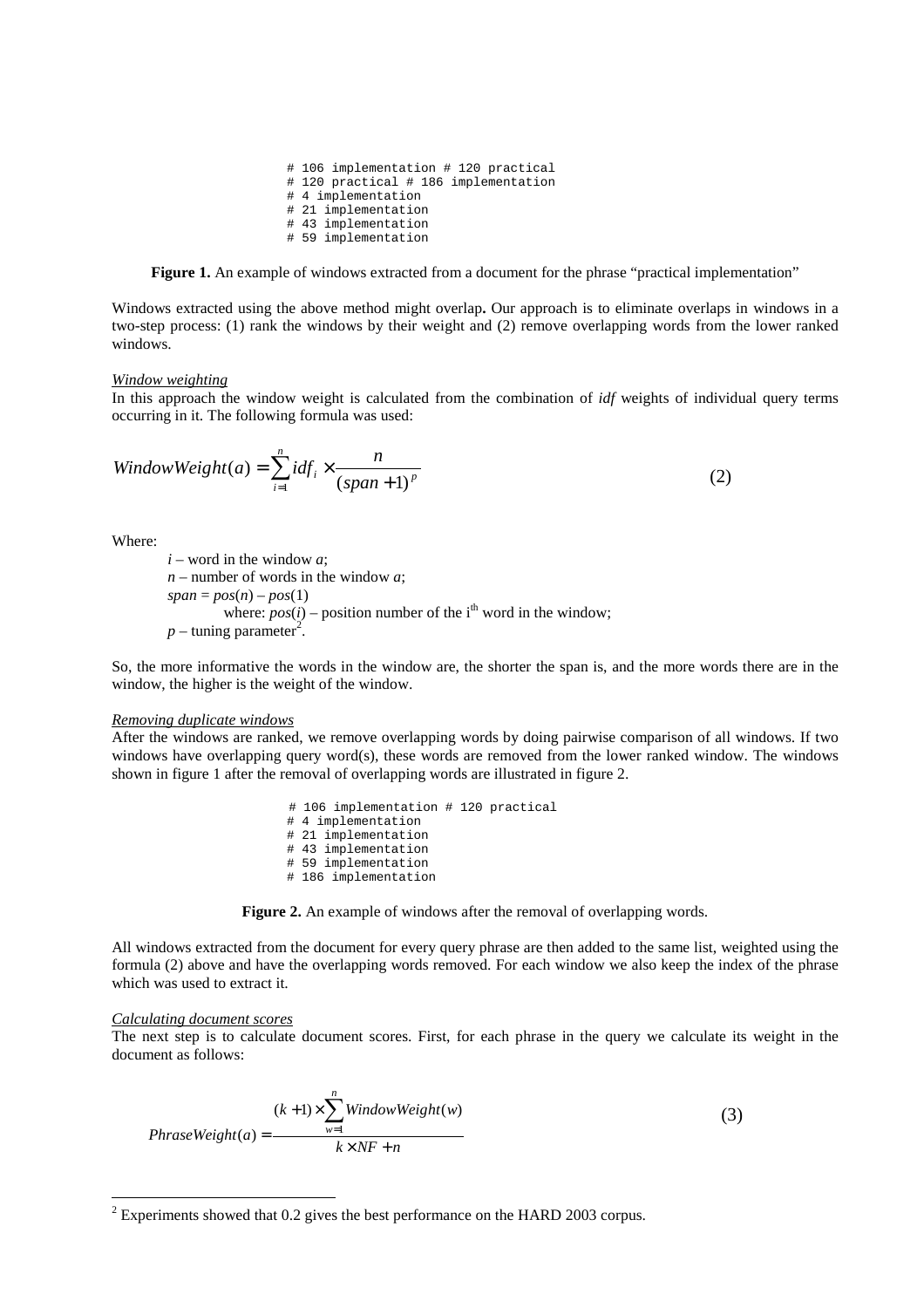```
# 106 implementation # 120 practical
# 120 practical # 186 implementation
# 4 implementation
# 21 implementation
# 43 implementation
# 59 implementation
```
**Figure 1.** An example of windows extracted from a document for the phrase "practical implementation"

Windows extracted using the above method might overlap**.** Our approach is to eliminate overlaps in windows in a two-step process: (1) rank the windows by their weight and (2) remove overlapping words from the lower ranked windows.

#### *Window weighting*

In this approach the window weight is calculated from the combination of *idf* weights of individual query terms occurring in it. The following formula was used:

$$
WindowWeight(a) = \sum_{i=1}^{n} idf_i \times \frac{n}{(span+1)^p}
$$
 (2)

Where:

 $i$  – word in the window  $a$ ; *n* – number of words in the window *a*;  $span = pos(n) - pos(1)$ where:  $pos(i)$  – position number of the i<sup>th</sup> word in the window;  $p$  – tuning parameter<sup>2</sup>.

So, the more informative the words in the window are, the shorter the span is, and the more words there are in the window, the higher is the weight of the window.

## *Removing duplicate windows*

After the windows are ranked, we remove overlapping words by doing pairwise comparison of all windows. If two windows have overlapping query word(s), these words are removed from the lower ranked window. The windows shown in figure 1 after the removal of overlapping words are illustrated in figure 2.

> # 106 implementation # 120 practical # 4 implementation # 21 implementation # 43 implementation # 59 implementation # 186 implementation

**Figure 2.** An example of windows after the removal of overlapping words.

All windows extracted from the document for every query phrase are then added to the same list, weighted using the formula (2) above and have the overlapping words removed. For each window we also keep the index of the phrase which was used to extract it.

#### *Calculating document scores*

The next step is to calculate document scores. First, for each phrase in the query we calculate its weight in the document as follows:

$$
(k+1) \times \sum_{w=1}^{n} WindowWeight(w)
$$
  
PhraseWeight(a) = 
$$
\frac{k \times NF + n}{k \times NF + n}
$$
 (3)

 $2$  Experiments showed that 0.2 gives the best performance on the HARD 2003 corpus.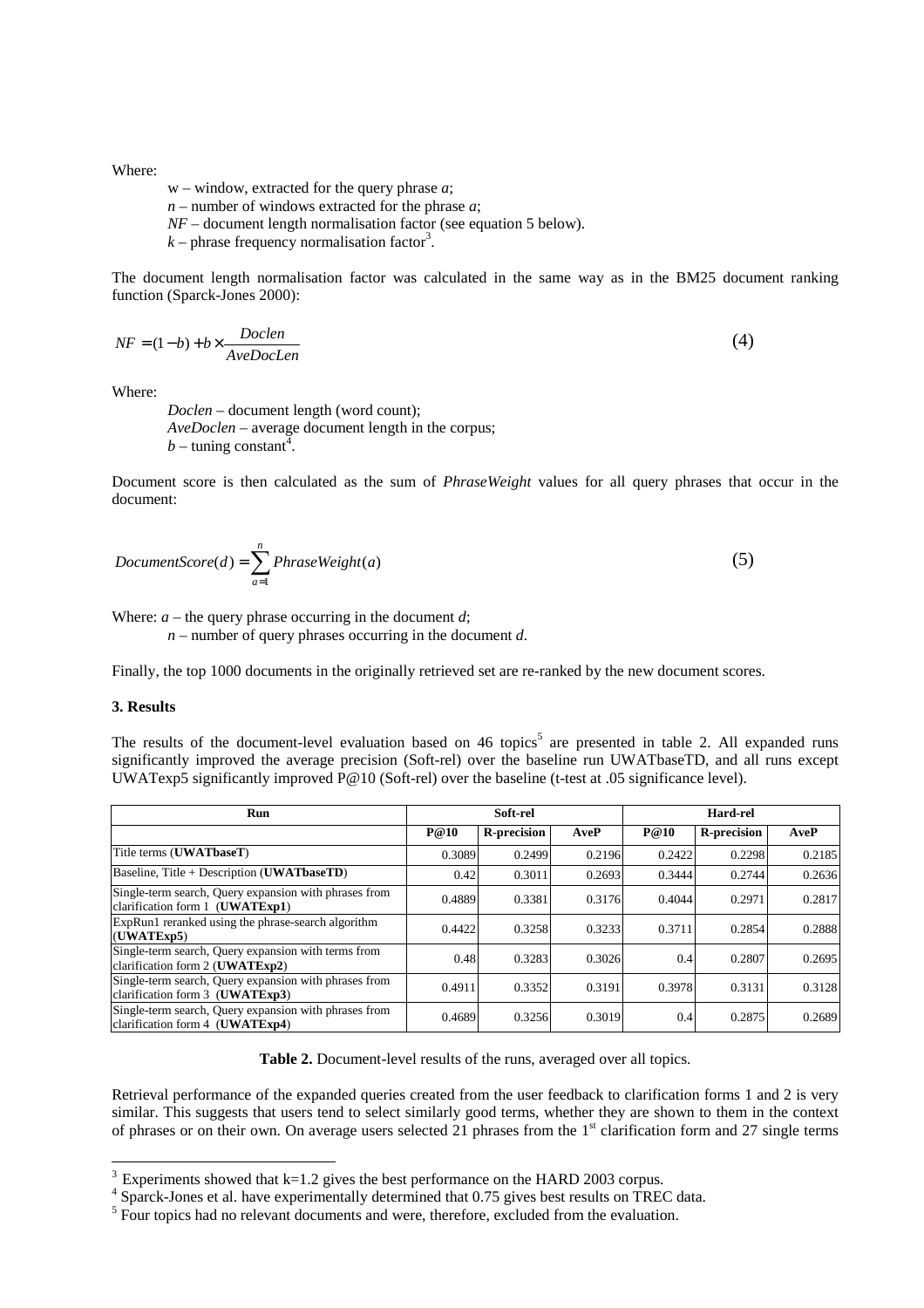Where:

- w window, extracted for the query phrase *a*;
- *n* number of windows extracted for the phrase *a*;
- *NF* document length normalisation factor (see equation 5 below).
- $k$  phrase frequency normalisation factor<sup>3</sup>.

The document length normalisation factor was calculated in the same way as in the BM25 document ranking function (Sparck-Jones 2000):

$$
NF = (1-b) + b \times \frac{Doclen}{AveDocLen}
$$
\n<sup>(4)</sup>

Where:

*Doclen* – document length (word count); *AveDoclen* – average document length in the corpus; *b* – tuning constant<sup> $\bar{4}$ </sup>.

Document score is then calculated as the sum of *PhraseWeight* values for all query phrases that occur in the document:

$$
DocumentScore(d) = \sum_{a=1}^{n} PhraseWeight(a)
$$
\n(5)

Where:  $a$  – the query phrase occurring in the document  $d$ ;

*n* – number of query phrases occurring in the document *d*.

Finally, the top 1000 documents in the originally retrieved set are re-ranked by the new document scores.

## **3. Results**

The results of the document-level evaluation based on 46 topics<sup>5</sup> are presented in table 2. All expanded runs significantly improved the average precision (Soft-rel) over the baseline run UWATbaseTD, and all runs except UWATexp5 significantly improved P@10 (Soft-rel) over the baseline (t-test at .05 significance level).

| <b>Run</b>                                                                               | Soft-rel |                    |        | Hard-rel |                    |        |
|------------------------------------------------------------------------------------------|----------|--------------------|--------|----------|--------------------|--------|
|                                                                                          | P@10     | <b>R-precision</b> | AveP   | P@10     | <b>R-precision</b> | AveP   |
| Title terms (UWATbaseT)                                                                  | 0.3089   | 0.2499             | 0.2196 | 0.2422   | 0.2298             | 0.2185 |
| Baseline, Title + Description (UWATbaseTD)                                               | 0.42     | 0.3011             | 0.2693 | 0.3444   | 0.2744             | 0.2636 |
| Single-term search, Query expansion with phrases from<br>clarification form 1 (UWATExp1) | 0.4889   | 0.3381             | 0.3176 | 0.4044   | 0.2971             | 0.2817 |
| ExpRun1 reranked using the phrase-search algorithm<br>(UWATExp5)                         | 0.4422   | 0.3258             | 0.3233 | 0.3711   | 0.2854             | 0.2888 |
| Single-term search, Query expansion with terms from<br>clarification form 2 (UWATExp2)   | 0.48     | 0.3283             | 0.3026 | 0.4      | 0.2807             | 0.2695 |
| Single-term search, Query expansion with phrases from<br>clarification form 3 (UWATExp3) | 0.4911   | 0.3352             | 0.3191 | 0.3978   | 0.3131             | 0.3128 |
| Single-term search, Query expansion with phrases from<br>clarification form 4 (UWATExp4) | 0.4689   | 0.3256             | 0.3019 | 0.4      | 0.2875             | 0.2689 |

**Table 2.** Document-level results of the runs, averaged over all topics.

Retrieval performance of the expanded queries created from the user feedback to clarification forms 1 and 2 is very similar. This suggests that users tend to select similarly good terms, whether they are shown to them in the context of phrases or on their own. On average users selected 21 phrases from the 1<sup>st</sup> clarification form and 27 single terms

 $3$  Experiments showed that k=1.2 gives the best performance on the HARD 2003 corpus.

<sup>&</sup>lt;sup>4</sup> Sparck-Jones et al. have experimentally determined that 0.75 gives best results on TREC data.

<sup>&</sup>lt;sup>5</sup> Four topics had no relevant documents and were, therefore, excluded from the evaluation.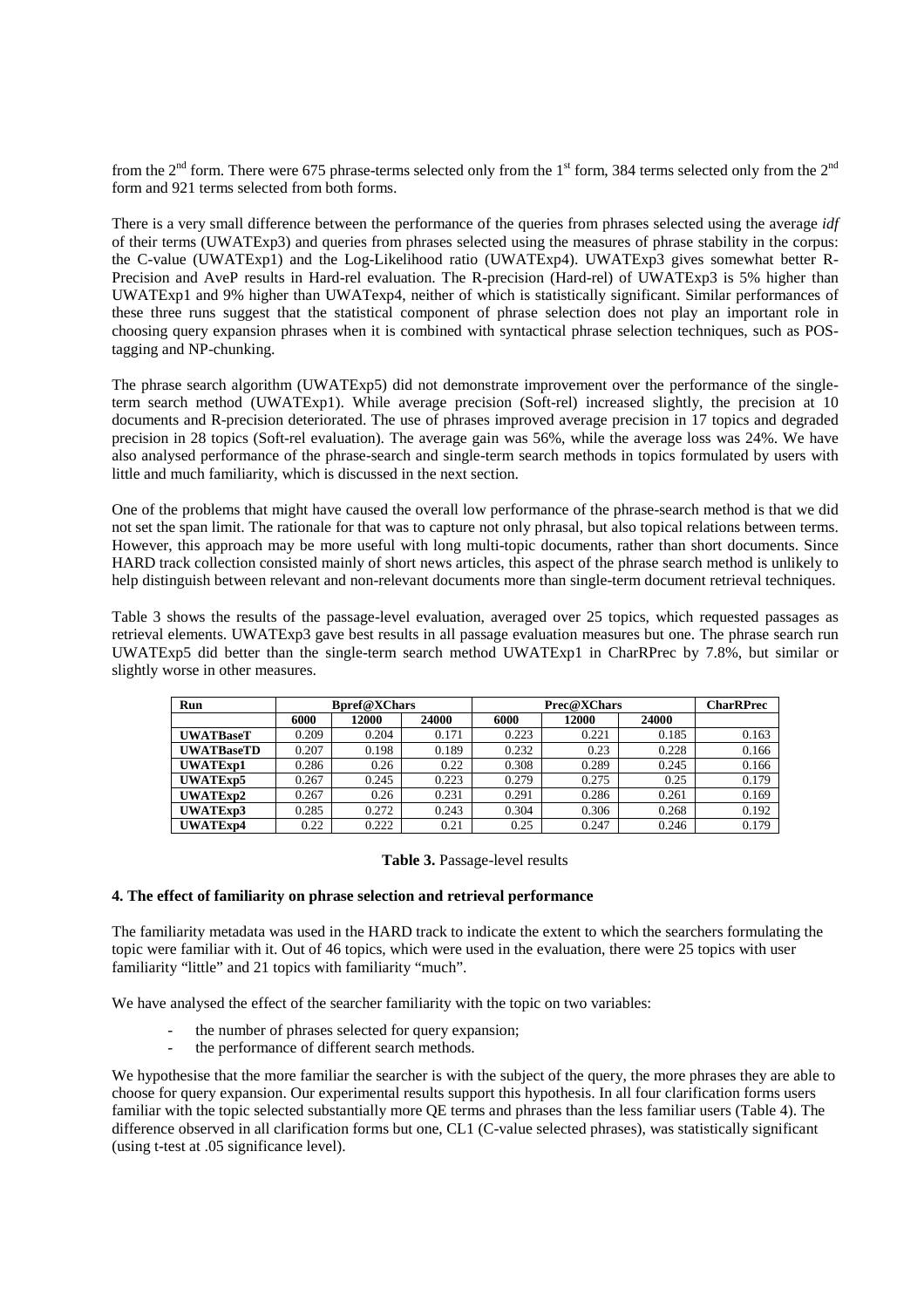from the 2<sup>nd</sup> form. There were 675 phrase-terms selected only from the 1<sup>st</sup> form, 384 terms selected only from the 2<sup>nd</sup> form and 921 terms selected from both forms.

There is a very small difference between the performance of the queries from phrases selected using the average *idf* of their terms (UWATExp3) and queries from phrases selected using the measures of phrase stability in the corpus: the C-value (UWATExp1) and the Log-Likelihood ratio (UWATExp4). UWATExp3 gives somewhat better R-Precision and AveP results in Hard-rel evaluation. The R-precision (Hard-rel) of UWATExp3 is 5% higher than UWATExp1 and 9% higher than UWATexp4, neither of which is statistically significant. Similar performances of these three runs suggest that the statistical component of phrase selection does not play an important role in choosing query expansion phrases when it is combined with syntactical phrase selection techniques, such as POStagging and NP-chunking.

The phrase search algorithm (UWATExp5) did not demonstrate improvement over the performance of the singleterm search method (UWATExp1). While average precision (Soft-rel) increased slightly, the precision at 10 documents and R-precision deteriorated. The use of phrases improved average precision in 17 topics and degraded precision in 28 topics (Soft-rel evaluation). The average gain was 56%, while the average loss was 24%. We have also analysed performance of the phrase-search and single-term search methods in topics formulated by users with little and much familiarity, which is discussed in the next section.

One of the problems that might have caused the overall low performance of the phrase-search method is that we did not set the span limit. The rationale for that was to capture not only phrasal, but also topical relations between terms. However, this approach may be more useful with long multi-topic documents, rather than short documents. Since HARD track collection consisted mainly of short news articles, this aspect of the phrase search method is unlikely to help distinguish between relevant and non-relevant documents more than single-term document retrieval techniques.

Table 3 shows the results of the passage-level evaluation, averaged over 25 topics, which requested passages as retrieval elements. UWATExp3 gave best results in all passage evaluation measures but one. The phrase search run UWATExp5 did better than the single-term search method UWATExp1 in CharRPrec by 7.8%, but similar or slightly worse in other measures.

| Run               |       | <b>B</b> pref@XChars |       |       | Prec@XChars  |       | <b>CharRPrec</b> |
|-------------------|-------|----------------------|-------|-------|--------------|-------|------------------|
|                   | 6000  | 12000                | 24000 | 6000  | <b>12000</b> | 24000 |                  |
| <b>UWATBaseT</b>  | 0.209 | 0.204                | 0.171 | 0.223 | 0.221        | 0.185 | 0.163            |
| <b>UWATBaseTD</b> | 0.207 | 0.198                | 0.189 | 0.232 | 0.23         | 0.228 | 0.166            |
| <b>UWATExp1</b>   | 0.286 | 0.26                 | 0.22  | 0.308 | 0.289        | 0.245 | 0.166            |
| UWATExp5          | 0.267 | 0.245                | 0.223 | 0.279 | 0.275        | 0.25  | 0.179            |
| UWATExp2          | 0.267 | 0.26                 | 0.231 | 0.291 | 0.286        | 0.261 | 0.169            |
| UWATExp3          | 0.285 | 0.272                | 0.243 | 0.304 | 0.306        | 0.268 | 0.192            |
| UWATExp4          | 0.22  | 0.222                | 0.21  | 0.25  | 0.247        | 0.246 | 0.179            |

# **Table 3.** Passage-level results

# **4. The effect of familiarity on phrase selection and retrieval performance**

The familiarity metadata was used in the HARD track to indicate the extent to which the searchers formulating the topic were familiar with it. Out of 46 topics, which were used in the evaluation, there were 25 topics with user familiarity "little" and 21 topics with familiarity "much".

We have analysed the effect of the searcher familiarity with the topic on two variables:

- the number of phrases selected for query expansion;
- the performance of different search methods.

We hypothesise that the more familiar the searcher is with the subject of the query, the more phrases they are able to choose for query expansion. Our experimental results support this hypothesis. In all four clarification forms users familiar with the topic selected substantially more QE terms and phrases than the less familiar users (Table 4). The difference observed in all clarification forms but one, CL1 (C-value selected phrases), was statistically significant (using t-test at .05 significance level).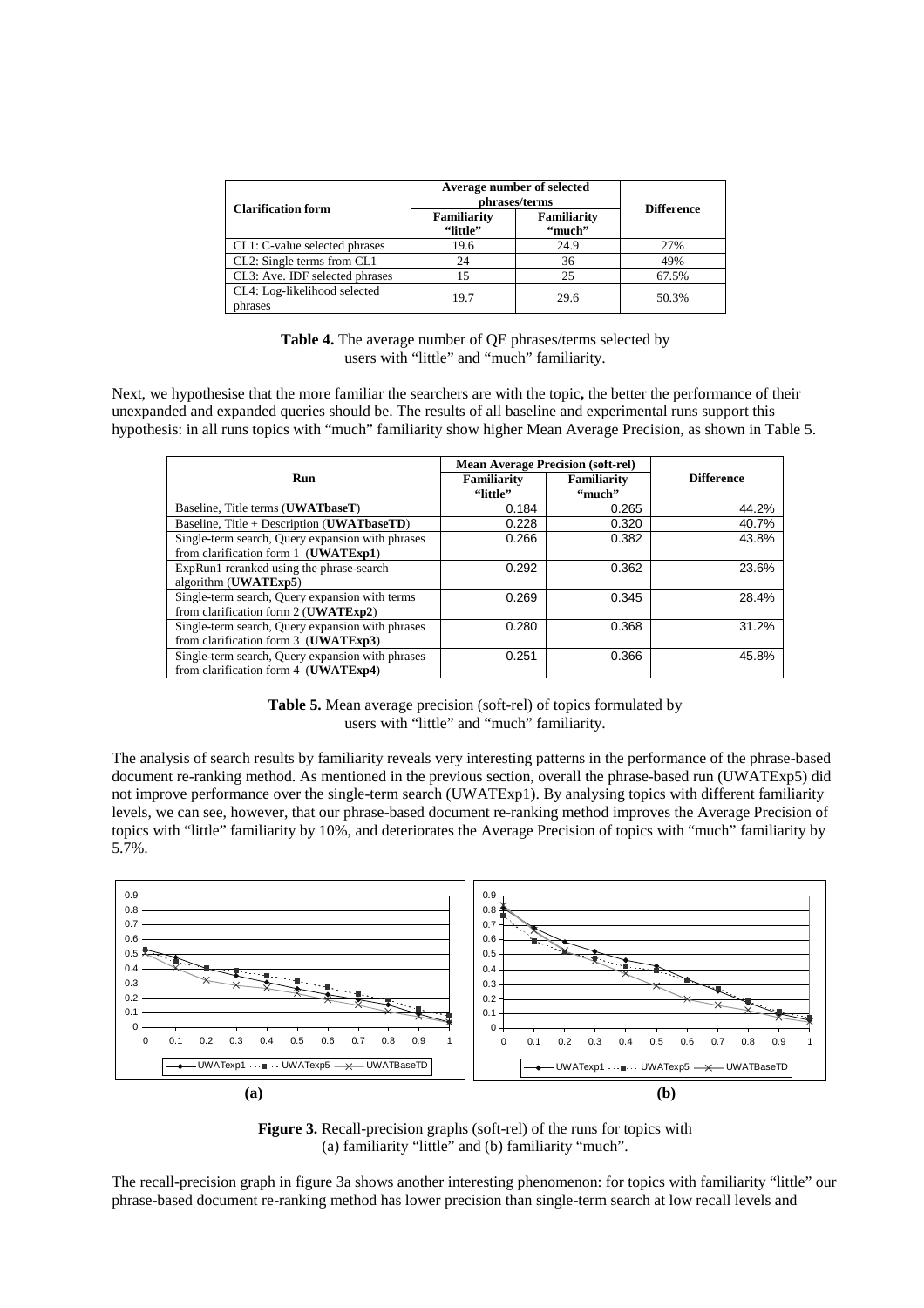| <b>Clarification form</b>               | Average number of selected<br>phrases/terms | <b>Difference</b>            |       |
|-----------------------------------------|---------------------------------------------|------------------------------|-------|
|                                         | <b>Familiarity</b><br>"little"              | <b>Familiarity</b><br>"much" |       |
| CL1: C-value selected phrases           | 19.6                                        | 24.9                         | 27%   |
| CL2: Single terms from CL1              | 24                                          | 36                           | 49%   |
| CL3: Ave. IDF selected phrases          | 15                                          | 25                           | 67.5% |
| CL4: Log-likelihood selected<br>phrases | 19.7                                        | 29.6                         | 50.3% |

**Table 4.** The average number of QE phrases/terms selected by users with "little" and "much" familiarity.

Next, we hypothesise that the more familiar the searchers are with the topic**,** the better the performance of their unexpanded and expanded queries should be. The results of all baseline and experimental runs support this hypothesis: in all runs topics with "much" familiarity show higher Mean Average Precision, as shown in Table 5.

|                                                  | <b>Mean Average Precision (soft-rel)</b> |             |                   |
|--------------------------------------------------|------------------------------------------|-------------|-------------------|
| Run                                              | Familiarity                              | Familiarity | <b>Difference</b> |
|                                                  | "little"                                 | "much"      |                   |
| Baseline, Title terms (UWATbaseT)                | 0.184                                    | 0.265       | 44.2%             |
| Baseline, Title + Description (UWATbaseTD)       | 0.228                                    | 0.320       | 40.7%             |
| Single-term search, Query expansion with phrases | 0.266                                    | 0.382       | 43.8%             |
| from clarification form 1 (UWATExp1)             |                                          |             |                   |
| ExpRun1 reranked using the phrase-search         | 0.292                                    | 0.362       | 23.6%             |
| algorithm (UWATExp5)                             |                                          |             |                   |
| Single-term search, Query expansion with terms   | 0.269                                    | 0.345       | 28.4%             |
| from clarification form 2 ( <b>UWATExp2</b> )    |                                          |             |                   |
| Single-term search, Query expansion with phrases | 0.280                                    | 0.368       | 31.2%             |
| from clarification form 3 ( <b>UWATExp3</b> )    |                                          |             |                   |
| Single-term search, Query expansion with phrases | 0.251                                    | 0.366       | 45.8%             |
| from clarification form 4 (UWATExp4)             |                                          |             |                   |

**Table 5.** Mean average precision (soft-rel) of topics formulated by users with "little" and "much" familiarity.

The analysis of search results by familiarity reveals very interesting patterns in the performance of the phrase-based document re-ranking method. As mentioned in the previous section, overall the phrase-based run (UWATExp5) did not improve performance over the single-term search (UWATExp1). By analysing topics with different familiarity levels, we can see, however, that our phrase-based document re-ranking method improves the Average Precision of topics with "little" familiarity by 10%, and deteriorates the Average Precision of topics with "much" familiarity by 5.7%.



**Figure 3.** Recall-precision graphs (soft-rel) of the runs for topics with (a) familiarity "little" and (b) familiarity "much".

The recall-precision graph in figure 3a shows another interesting phenomenon: for topics with familiarity "little" our phrase-based document re-ranking method has lower precision than single-term search at low recall levels and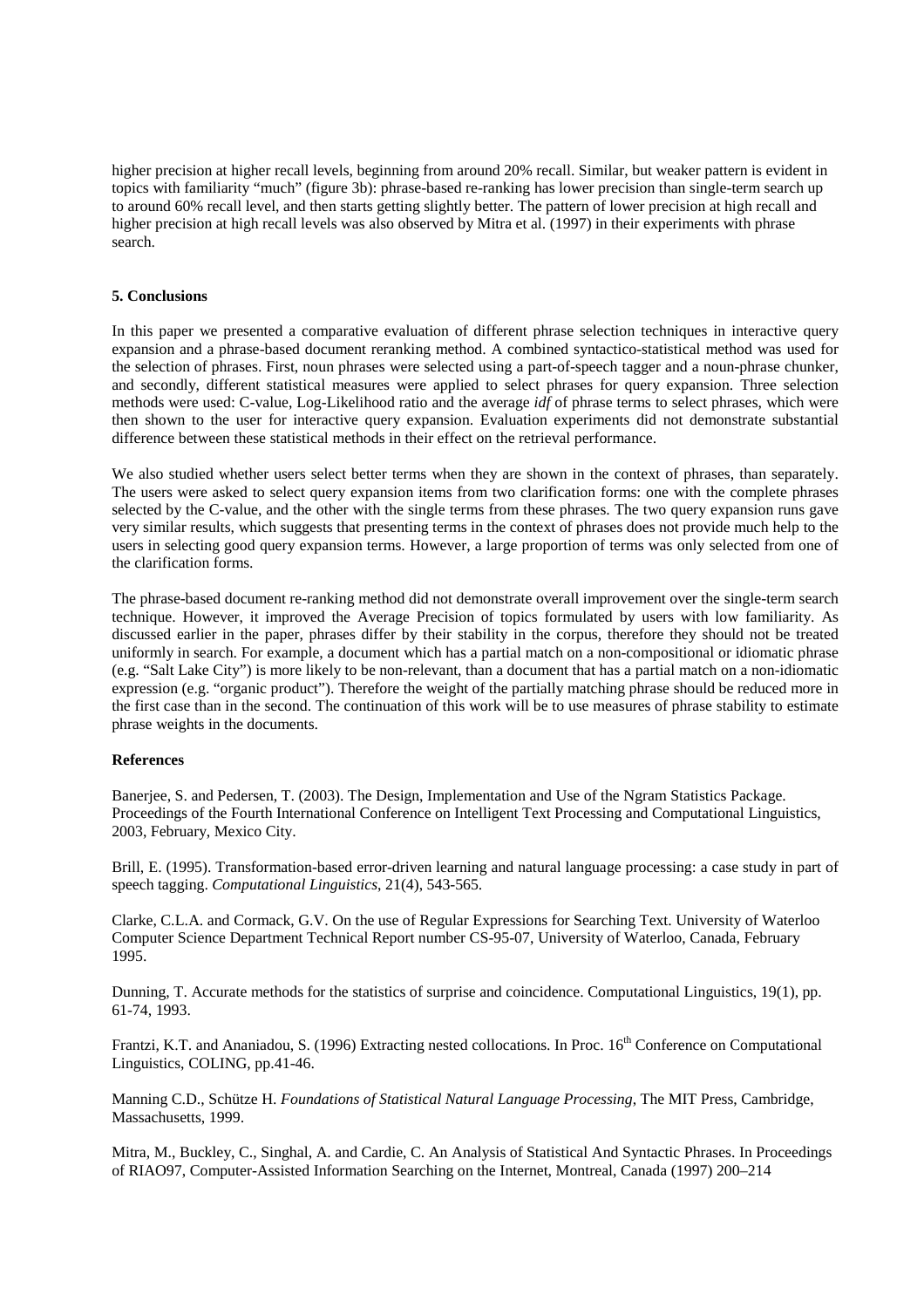higher precision at higher recall levels, beginning from around 20% recall. Similar, but weaker pattern is evident in topics with familiarity "much" (figure 3b): phrase-based re-ranking has lower precision than single-term search up to around 60% recall level, and then starts getting slightly better. The pattern of lower precision at high recall and higher precision at high recall levels was also observed by Mitra et al. (1997) in their experiments with phrase search.

# **5. Conclusions**

In this paper we presented a comparative evaluation of different phrase selection techniques in interactive query expansion and a phrase-based document reranking method. A combined syntactico-statistical method was used for the selection of phrases. First, noun phrases were selected using a part-of-speech tagger and a noun-phrase chunker, and secondly, different statistical measures were applied to select phrases for query expansion. Three selection methods were used: C-value, Log-Likelihood ratio and the average *idf* of phrase terms to select phrases, which were then shown to the user for interactive query expansion. Evaluation experiments did not demonstrate substantial difference between these statistical methods in their effect on the retrieval performance.

We also studied whether users select better terms when they are shown in the context of phrases, than separately. The users were asked to select query expansion items from two clarification forms: one with the complete phrases selected by the C-value, and the other with the single terms from these phrases. The two query expansion runs gave very similar results, which suggests that presenting terms in the context of phrases does not provide much help to the users in selecting good query expansion terms. However, a large proportion of terms was only selected from one of the clarification forms.

The phrase-based document re-ranking method did not demonstrate overall improvement over the single-term search technique. However, it improved the Average Precision of topics formulated by users with low familiarity. As discussed earlier in the paper, phrases differ by their stability in the corpus, therefore they should not be treated uniformly in search. For example, a document which has a partial match on a non-compositional or idiomatic phrase (e.g. "Salt Lake City") is more likely to be non-relevant, than a document that has a partial match on a non-idiomatic expression (e.g. "organic product"). Therefore the weight of the partially matching phrase should be reduced more in the first case than in the second. The continuation of this work will be to use measures of phrase stability to estimate phrase weights in the documents.

#### **References**

Banerjee, S. and Pedersen, T. (2003). The Design, Implementation and Use of the Ngram Statistics Package. Proceedings of the Fourth International Conference on Intelligent Text Processing and Computational Linguistics, 2003, February, Mexico City.

Brill, E. (1995). Transformation-based error-driven learning and natural language processing: a case study in part of speech tagging. *Computational Linguistics*, 21(4), 543-565.

Clarke, C.L.A. and Cormack, G.V. On the use of Regular Expressions for Searching Text. University of Waterloo Computer Science Department Technical Report number CS-95-07, University of Waterloo, Canada, February 1995.

Dunning, T. Accurate methods for the statistics of surprise and coincidence. Computational Linguistics, 19(1), pp. 61-74, 1993.

Frantzi, K.T. and Ananiadou, S. (1996) Extracting nested collocations. In Proc. 16<sup>th</sup> Conference on Computational Linguistics, COLING, pp.41-46.

Manning C.D., Schütze H. *Foundations of Statistical Natural Language Processing*, The MIT Press, Cambridge, Massachusetts, 1999.

Mitra, M., Buckley, C., Singhal, A. and Cardie, C. An Analysis of Statistical And Syntactic Phrases. In Proceedings of RIAO97, Computer-Assisted Information Searching on the Internet, Montreal, Canada (1997) 200–214